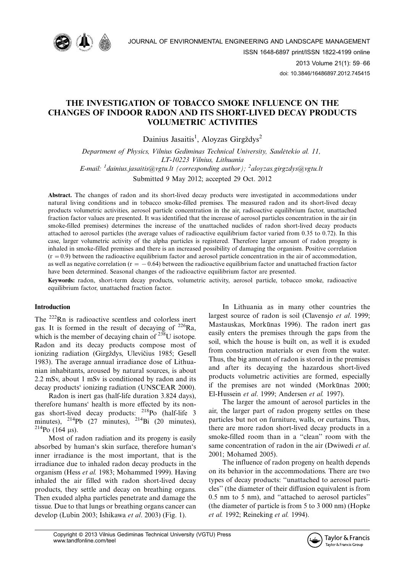

# THE INVESTIGATION OF TOBACCO SMOKE INFLUENCE ON THE CHANGES OF INDOOR RADON AND ITS SHORT-LIVED DECAY PRODUCTS VOLUMETRIC ACTIVITIES

Dainius Jasaitis<sup>1</sup>, Aloyzas Girgždys<sup>2</sup>

Department of Physics, Vilnius Gediminas Technical University, Saulėtekio al. 11, LT-10223 Vilnius, Lithuania E-mail: <sup>1</sup> dainius.jasaitis@vgtu.lt (corresponding author); <sup>2</sup> aloyzas.girgzdys@vgtu.lt Submitted 9 May 2012; accepted 29 Oct. 2012

Abstract. The changes of radon and its short-lived decay products were investigated in accommodations under natural living conditions and in tobacco smoke-filled premises. The measured radon and its short-lived decay products volumetric activities, aerosol particle concentration in the air, radioactive equilibrium factor, unattached fraction factor values are presented. It was identified that the increase of aerosol particles concentration in the air (in smoke-filled premises) determines the increase of the unattached nuclides of radon short-lived decay products attached to aerosol particles (the average values of radioactive equilibrium factor varied from 0.35 to 0.72). In this case, larger volumetric activity of the alpha particles is registered. Therefore larger amount of radon progeny is inhaled in smoke-filled premises and there is an increased possibility of damaging the organism. Positive correlation  $(r = 0.9)$  between the radioactive equilibrium factor and aerosol particle concentration in the air of accommodation, as well as negative correlation ( $r = -0.64$ ) between the radioactive equilibrium factor and unattached fraction factor have been determined. Seasonal changes of the radioactive equilibrium factor are presented.

Keywords: radon, short-term decay products, volumetric activity, aerosol particle, tobacco smoke, radioactive equilibrium factor, unattached fraction factor.

## Introduction

The <sup>222</sup>Rn is radioactive scentless and colorless inert gas. It is formed in the result of decaying of  $^{226}Ra$ , which is the member of decaying chain of  $^{238}$ U isotope. Radon and its decay products compose most of ionizing radiation (Girgždys, Ulevičius 1985; Gesell 1983). The average annual irradiance dose of Lithuanian inhabitants, aroused by natural sources, is about 2.2 mSv, about 1 mSv is conditioned by radon and its decay products' ionizing radiation (UNSCEAR 2000).

Radon is inert gas (half-life duration 3.824 days), therefore humans' health is more effected by its nongas short-lived decay products: 218Po (half-life 3 minutes),  $^{214}Pb$  (27 minutes),  $^{214}Bi$  (20 minutes),  $^{214}$ Po (164 µs).

Most of radon radiation and its progeny is easily absorbed by human's skin surface, therefore human's inner irradiance is the most important, that is the irradiance due to inhaled radon decay products in the organism (Hess et al. 1983; Mohammed 1999). Having inhaled the air filled with radon short-lived decay products, they settle and decay on breathing organs. Then exuded alpha particles penetrate and damage the tissue. Due to that lungs or breathing organs cancer can develop (Lubin 2003; Ishikawa et al. 2003) (Fig. 1).

In Lithuania as in many other countries the largest source of radon is soil (Clavensjo et al. 1999; Mastauskas, Morkūnas 1996). The radon inert gas easily enters the premises through the gaps from the soil, which the house is built on, as well it is exuded from construction materials or even from the water. Thus, the big amount of radon is stored in the premises and after its decaying the hazardous short-lived products volumetric activities are formed, especially if the premises are not winded (Morkūnas 2000; El-Hussein et al. 1999; Andersen et al. 1997).

The larger the amount of aerosol particles in the air, the larger part of radon progeny settles on these particles but not on furniture, walls, or curtains. Thus, there are more radon short-lived decay products in a smoke-filled room than in a ''clean'' room with the same concentration of radon in the air (Dwiwedi et al. 2001; Mohamed 2005).

The influence of radon progeny on health depends on its behavior in the accommodations. There are two types of decay products: ''unattached to aerosol particles'' (the diameter of their diffusion equivalent is from 0.5 nm to 5 nm), and ''attached to aerosol particles'' (the diameter of particle is from 5 to 3 000 nm) (Hopke et al. 1992; Reineking et al. 1994).

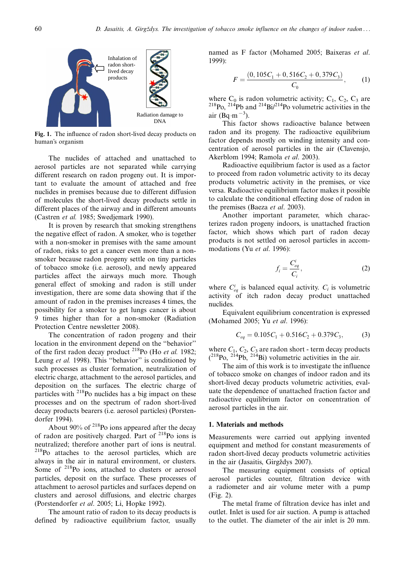

Fig. 1. The influence of radon short-lived decay products on human's organism

The nuclides of attached and unattached to aerosol particles are not separated while carrying different research on radon progeny out. It is important to evaluate the amount of attached and free nuclides in premises because due to different diffusion of molecules the short-lived decay products settle in different places of the airway and in different amounts (Castren et al. 1985; Swedjemark 1990).

It is proven by research that smoking strengthens the negative effect of radon. A smoker, who is together with a non-smoker in premises with the same amount of radon, risks to get a cancer even more than a nonsmoker because radon progeny settle on tiny particles of tobacco smoke (i.e. aerosol), and newly appeared particles affect the airways much more. Though general effect of smoking and radon is still under investigation, there are some data showing that if the amount of radon in the premises increases 4 times, the possibility for a smoker to get lungs cancer is about 9 times higher than for a non-smoker (Radiation Protection Centre newsletter 2008).

The concentration of radon progeny and their location in the environment depend on the ''behavior'' of the first radon decay product  $^{218}$ Po (Ho et al. 1982; Leung et al. 1998). This "behavior" is conditioned by such processes as cluster formation, neutralization of electric charge, attachment to the aerosol particles, and deposition on the surfaces. The electric charge of particles with 218Po nuclides has a big impact on these processes and on the spectrum of radon short-lived decay products bearers (i.e. aerosol particles) (Porstendorfer 1994).

About  $90\%$  of  $^{218}$ Po ions appeared after the decay of radon are positively charged. Part of <sup>218</sup>Po ions is neutralized; therefore another part of ions is neutral. <sup>218</sup>Po attaches to the aerosol particles, which are always in the air in natural environment, or clusters. Some of <sup>218</sup>Po ions, attached to clusters or aerosol particles, deposit on the surface. These processes of attachment to aerosol particles and surfaces depend on clusters and aerosol diffusions, and electric charges (Porstendorfer et al. 2005; Li, Hopke 1992).

The amount ratio of radon to its decay products is defined by radioactive equilibrium factor, usually named as F factor (Mohamed 2005; Baixeras et al. 1999):

$$
F = \frac{(0, 105C_1 + 0, 516C_2 + 0, 379C_3)}{C_0},
$$
 (1)

where  $C_0$  is radon volumetric activity;  $C_1$ ,  $C_2$ ,  $C_3$  are  $^{218}P_0$ ,  $^{214}P_0$  and  $^{214}Bi/^{214}P_0$  volumetric activities in the air (Bq·m<sup>-3</sup>).

This factor shows radioactive balance between radon and its progeny. The radioactive equilibrium factor depends mostly on winding intensity and concentration of aerosol particles in the air (Clavensjo, Akerblom 1994; Ramola et al. 2003).

Radioactive equilibrium factor is used as a factor to proceed from radon volumetric activity to its decay products volumetric activity in the premises, or vice versa. Radioactive equilibrium factor makes it possible to calculate the conditional effecting dose of radon in the premises (Baeza et al. 2003).

Another important parameter, which characterizes radon progeny indoors, is unattached fraction factor, which shows which part of radon decay products is not settled on aerosol particles in accommodations (Yu et al. 1996):

$$
f_i = \frac{C_{eq}^i}{C_i},\tag{2}
$$

where  $C_{eq}^{i}$  is balanced equal activity.  $C_{i}$  is volumetric activity of itch radon decay product unattached nuclides.

Equivalent equilibrium concentration is expressed (Mohamed 2005; Yu et al. 1996):

$$
C_{eq} = 0.105C_1 + 0.516C_2 + 0.379C_3,\tag{3}
$$

where  $C_1$ ,  $C_2$ ,  $C_3$  are radon short - term decay products  $(^{218}Po, ^{214}Pb, ^{214}Bi)$  volumetric activities in the air.

The aim of this work is to investigate the influence of tobacco smoke on changes of indoor radon and its short-lived decay products volumetric activities, evaluate the dependence of unattached fraction factor and radioactive equilibrium factor on concentration of aerosol particles in the air.

#### 1. Materials and methods

Measurements were carried out applying invented equipment and method for constant measurements of radon short-lived decay products volumetric activities in the air (Jasaitis, Girgždys 2007).

The measuring equipment consists of optical aerosol particles counter, filtration device with a radiometer and air volume meter with a pump (Fig. 2).

The metal frame of filtration device has inlet and outlet. Inlet is used for air suction. A pump is attached to the outlet. The diameter of the air inlet is 20 mm.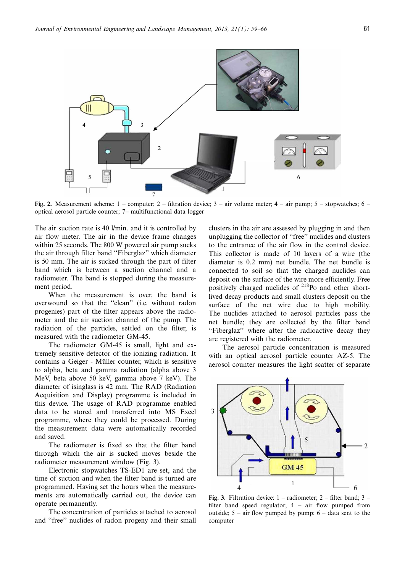

Fig. 2. Measurement scheme:  $1$  – computer;  $2$  – filtration device;  $3$  – air volume meter;  $4$  – air pump;  $5$  – stopwatches;  $6$  – optical aerosol particle counter; 7- multifunctional data logger

The air suction rate is 40 l/min. and it is controlled by air flow meter. The air in the device frame changes within 25 seconds. The 800 W powered air pump sucks the air through filter band ''Fiberglaz'' which diameter is 50 mm. The air is sucked through the part of filter band which is between a suction channel and a radiometer. The band is stopped during the measurement period.

When the measurement is over, the band is overwound so that the ''clean'' (i.e. without radon progenies) part of the filter appears above the radiometer and the air suction channel of the pump. The radiation of the particles, settled on the filter, is measured with the radiometer GM-45.

The radiometer GM-45 is small, light and extremely sensitive detector of the ionizing radiation. It contains a Geiger - Müller counter, which is sensitive to alpha, beta and gamma radiation (alpha above 3 MeV, beta above 50 keV, gamma above 7 keV). The diameter of isinglass is 42 mm. The RAD (Radiation Acquisition and Display) programme is included in this device. The usage of RAD programme enabled data to be stored and transferred into MS Excel programme, where they could be processed. During the measurement data were automatically recorded and saved.

The radiometer is fixed so that the filter band through which the air is sucked moves beside the radiometer measurement window (Fig. 3).

Electronic stopwatches TS-ED1 are set, and the time of suction and when the filter band is turned are programmed. Having set the hours when the measurements are automatically carried out, the device can operate permanently.

The concentration of particles attached to aerosol and ''free'' nuclides of radon progeny and their small clusters in the air are assessed by plugging in and then unplugging the collector of ''free'' nuclides and clusters to the entrance of the air flow in the control device. This collector is made of 10 layers of a wire (the diameter is 0.2 mm) net bundle. The net bundle is connected to soil so that the charged nuclides can deposit on the surface of the wire more efficiently. Free positively charged nuclides of 218Po and other shortlived decay products and small clusters deposit on the surface of the net wire due to high mobility. The nuclides attached to aerosol particles pass the net bundle; they are collected by the filter band "Fiberglaz" where after the radioactive decay they are registered with the radiometer.

The aerosol particle concentration is measured with an optical aerosol particle counter AZ-5. The aerosol counter measures the light scatter of separate



Fig. 3. Filtration device:  $1 -$  radiometer;  $2 -$  filter band;  $3$ filter band speed regulator;  $4 - air$  flow pumped from outside;  $5 - air$  flow pumped by pump;  $6 - data$  sent to the computer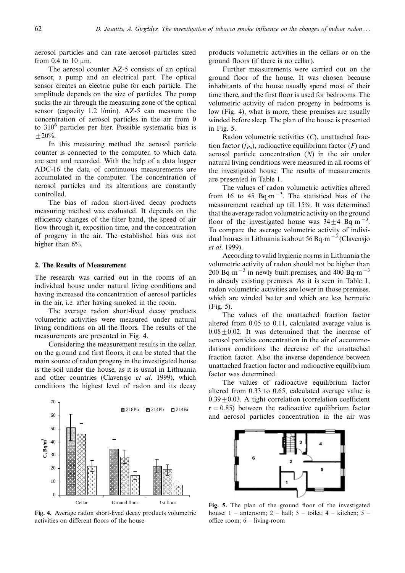aerosol particles and can rate aerosol particles sized from 0.4 to 10  $\mu$ m.

The aerosol counter AZ-5 consists of an optical sensor, a pump and an electrical part. The optical sensor creates an electric pulse for each particle. The amplitude depends on the size of particles. The pump sucks the air through the measuring zone of the optical sensor (capacity 1.2 l/min). AZ-5 can measure the concentration of aerosol particles in the air from 0 to  $310^6$  particles per liter. Possible systematic bias is  $± 20%$ .

In this measuring method the aerosol particle counter is connected to the computer, to which data are sent and recorded. With the help of a data logger ADC-16 the data of continuous measurements are accumulated in the computer. The concentration of aerosol particles and its alterations are constantly controlled.

The bias of radon short-lived decay products measuring method was evaluated. It depends on the efficiency changes of the filter band, the speed of air flow through it, exposition time, and the concentration of progeny in the air. The established bias was not higher than  $6\%$ .

#### 2. The Results of Measurement

The research was carried out in the rooms of an individual house under natural living conditions and having increased the concentration of aerosol particles in the air, i.e. after having smoked in the room.

The average radon short-lived decay products volumetric activities were measured under natural living conditions on all the floors. The results of the measurements are presented in Fig. 4.

Considering the measurement results in the cellar, on the ground and first floors, it can be stated that the main source of radon progeny in the investigated house is the soil under the house, as it is usual in Lithuania and other countries (Clavensjo et al. 1999), which conditions the highest level of radon and its decay



Fig. 4. Average radon short-lived decay products volumetric activities on different floors of the house

products volumetric activities in the cellars or on the ground floors (if there is no cellar).

Further measurements were carried out on the ground floor of the house. It was chosen because inhabitants of the house usually spend most of their time there, and the first floor is used for bedrooms. The volumetric activity of radon progeny in bedrooms is low (Fig. 4), what is more, these premises are usually winded before sleep. The plan of the house is presented in Fig. 5.

Radon volumetric activities  $(C)$ , unattached fraction factor  $(f_{Po})$ , radioactive equilibrium factor  $(F)$  and aerosol particle concentration (N) in the air under natural living conditions were measured in all rooms of the investigated house. The results of measurements are presented in Table 1.

The values of radon volumetric activities altered from 16 to 45 Bq $\cdot$ m<sup>-3</sup>. The statistical bias of the measurement reached up till 15%. It was determined that the average radon volumetric activity on the ground floor of the investigated house was  $34 \pm 4$  Bq·m<sup>-3</sup>. To compare the average volumetric activity of individual houses in Lithuania is about 56 Bq·m<sup>-3</sup> (Clavensjo et al. 1999).

According to valid hygienic norms in Lithuania the volumetric activity of radon should not be higher than 200 Bq·m<sup>-3</sup> in newly built premises, and 400 Bq·m<sup>-3</sup> in already existing premises. As it is seen in Table 1, radon volumetric activities are lower in those premises, which are winded better and which are less hermetic (Fig. 5).

The values of the unattached fraction factor altered from 0.05 to 0.11, calculated average value is  $0.08 \pm 0.02$ . It was determined that the increase of aerosol particles concentration in the air of accommodations conditions the decrease of the unattached fraction factor. Also the inverse dependence between unattached fraction factor and radioactive equilibrium factor was determined.

The values of radioactive equilibrium factor altered from 0.33 to 0.65, calculated average value is  $0.39 \pm 0.03$ . A tight correlation (correlation coefficient  $r = 0.85$ ) between the radioactive equilibrium factor and aerosol particles concentration in the air was



Fig. 5. The plan of the ground floor of the investigated house:  $1$  – anteroom;  $2$  – hall;  $3$  – toilet;  $4$  – kitchen;  $5$  – office room;  $6 -$ living-room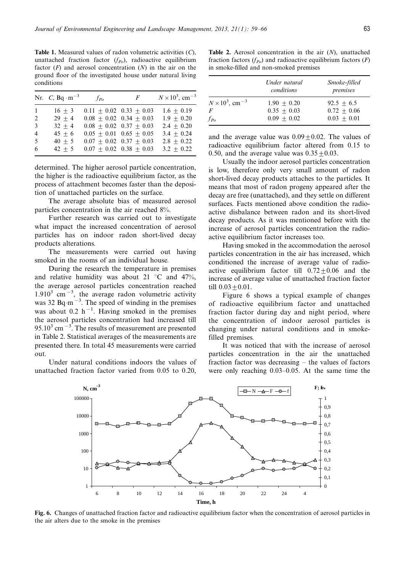Table 1. Measured values of radon volumetric activities (C), unattached fraction factor  $(f_{Po})$ , radioactive equilibrium factor  $(F)$  and aerosol concentration  $(N)$  in the air on the ground floor of the investigated house under natural living conditions

|                | Nr. C, Bq $\cdot$ m <sup>-3</sup> | $f_{Po}$                    | $\overline{F}$              | $N \times 10^3$ , cm <sup>-3</sup> |
|----------------|-----------------------------------|-----------------------------|-----------------------------|------------------------------------|
| $\mathbf{1}$   | $16 + 3$                          | $0.11 + 0.02$ $0.33 + 0.03$ |                             | $1.6 + 0.19$                       |
| 2              | $29 + 4$                          |                             | $0.08 + 0.02$ $0.34 + 0.03$ | $1.9 \pm 0.20$                     |
| $\mathcal{R}$  | $32 + 4$                          | $0.08 + 0.02 + 0.37 + 0.03$ |                             | $2.4 + 0.20$                       |
| $\overline{4}$ | $45 + 6$                          |                             | $0.05 + 0.01$ $0.65 + 0.05$ | $3.4 + 0.24$                       |
| 5              | $40 + 5$                          | $0.07 + 0.02 + 0.37 + 0.03$ |                             | $2.8 \pm 0.22$                     |
| 6              | $42 + 5$                          |                             | $0.07 + 0.02 + 0.38 + 0.03$ | $3.2 \pm 0.22$                     |

determined. The higher aerosol particle concentration, the higher is the radioactive equilibrium factor, as the process of attachment becomes faster than the deposition of unattached particles on the surface.

The average absolute bias of measured aerosol particles concentration in the air reached 8%.

Further research was carried out to investigate what impact the increased concentration of aerosol particles has on indoor radon short-lived decay products alterations.

The measurements were carried out having smoked in the rooms of an individual house.

During the research the temperature in premises and relative humidity was about 21  $\degree$ C and 47%, the average aerosol particles concentration reached  $1.910<sup>3</sup>$  cm<sup>-3</sup>, the average radon volumetric activity was 32 Bq·m<sup> $-3$ </sup>. The speed of winding in the premises was about 0.2  $h^{-1}$ . Having smoked in the premises the aerosol particles concentration had increased till 95.10 $3 \text{ cm}^{-3}$ . The results of measurement are presented in Table 2. Statistical averages of the measurements are presented there. In total 45 measurements were carried out.

Under natural conditions indoors the values of unattached fraction factor varied from 0.05 to 0.20,

Table 2. Aerosol concentration in the air  $(N)$ , unattached fraction factors  $(f_{Po})$  and radioactive equilibrium factors  $(F)$ in smoke-filled and non-smoked premises

|                                    | Under natural<br>conditions | Smoke-filled<br>premises |
|------------------------------------|-----------------------------|--------------------------|
| $N \times 10^3$ , cm <sup>-3</sup> | $1.90 + 0.20$               | $92.5 + 6.5$             |
| F                                  | $0.35 + 0.03$               | $0.72 + 0.06$            |
| $f_{P_0}$                          | $0.09 + 0.02$               | $0.03 + 0.01$            |

and the average value was  $0.09 \pm 0.02$ . The values of radioactive equilibrium factor altered from 0.15 to 0.50, and the average value was  $0.35 \pm 0.03$ .

Usually the indoor aerosol particles concentration is low, therefore only very small amount of radon short-lived decay products attaches to the particles. It means that most of radon progeny appeared after the decay are free (unattached), and they settle on different surfaces. Facts mentioned above condition the radioactive disbalance between radon and its short-lived decay products. As it was mentioned before with the increase of aerosol particles concentration the radioactive equilibrium factor increases too.

Having smoked in the accommodation the aerosol particles concentration in the air has increased, which conditioned the increase of average value of radioactive equilibrium factor till  $0.72 \pm 0.06$  and the increase of average value of unattached fraction factor till  $0.03 + 0.01$ .

Figure 6 shows a typical example of changes of radioactive equilibrium factor and unattached fraction factor during day and night period, where the concentration of indoor aerosol particles is changing under natural conditions and in smokefilled premises.

It was noticed that with the increase of aerosol particles concentration in the air the unattached fraction factor was decreasing  $-$  the values of factors were only reaching  $0.03-0.05$ . At the same time the



Fig. 6. Changes of unattached fraction factor and radioactive equilibrium factor when the concentration of aerosol particles in the air alters due to the smoke in the premises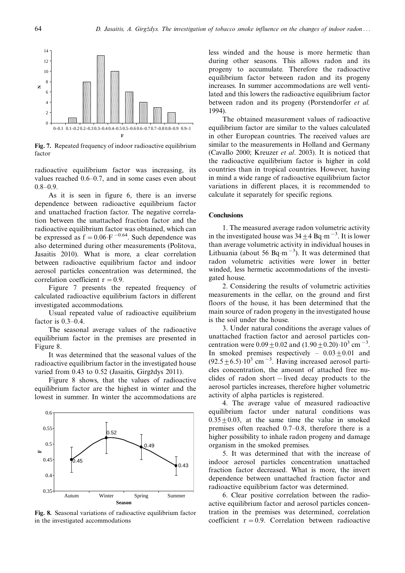

Fig. 7. Repeated frequency of indoor radioactive equilibrium factor

radioactive equilibrium factor was increasing, its values reached  $0.6-0.7$ , and in some cases even about  $0.8 - 0.9.$ 

As it is seen in figure 6, there is an inverse dependence between radioactive equilibrium factor and unattached fraction factor. The negative correlation between the unattached fraction factor and the radioactive equilibrium factor was obtained, which can be expressed as  $f = 0.06 \cdot F^{-0.64}$ . Such dependence was also determined during other measurements (Politova, Jasaitis 2010). What is more, a clear correlation between radioactive equilibrium factor and indoor aerosol particles concentration was determined, the correlation coefficient  $r = 0.9$ .

Figure 7 presents the repeated frequency of calculated radioactive equilibrium factors in different investigated accommodations.

Usual repeated value of radioactive equilibrium factor is  $0.3-0.4$ .

The seasonal average values of the radioactive equilibrium factor in the premises are presented in Figure 8.

It was determined that the seasonal values of the radioactive equilibrium factor in the investigated house varied from  $0.43$  to  $0.52$  (Jasaitis, Girgždys 2011).

Figure 8 shows, that the values of radioactive equilibrium factor are the highest in winter and the lowest in summer. In winter the accommodations are



Fig. 8. Seasonal variations of radioactive equilibrium factor in the investigated accommodations

less winded and the house is more hermetic than during other seasons. This allows radon and its progeny to accumulate. Therefore the radioactive equilibrium factor between radon and its progeny increases. In summer accommodations are well ventilated and this lowers the radioactive equilibrium factor between radon and its progeny (Porstendorfer *et al.*) 1994).

The obtained measurement values of radioactive equilibrium factor are similar to the values calculated in other European countries. The received values are similar to the measurements in Holland and Germany (Cavallo 2000; Kreuzer et al. 2003). It is noticed that the radioactive equilibrium factor is higher in cold countries than in tropical countries. However, having in mind a wide range of radioactive equilibrium factor variations in different places, it is recommended to calculate it separately for specific regions.

#### **Conclusions**

1. The measured average radon volumetric activity in the investigated house was  $34 \pm 4$  Bq·m<sup>-3</sup>. It is lower than average volumetric activity in individual houses in Lithuania (about 56 Bq·m<sup>-3</sup>). It was determined that radon volumetric activities were lower in better winded, less hermetic accommodations of the investigated house.

2. Considering the results of volumetric activities measurements in the cellar, on the ground and first floors of the house, it has been determined that the main source of radon progeny in the investigated house is the soil under the house.

3. Under natural conditions the average values of unattached fraction factor and aerosol particles concentration were  $0.09 \pm 0.02$  and  $(1.90 \pm 0.20) \cdot 10^3$  cm<sup>-3</sup>. In smoked premises respectively  $-0.03 \pm 0.01$  and  $(92.5 \pm 6.5) \cdot 10^3$  cm<sup>-3</sup>. Having increased aerosol particles concentration, the amount of attached free nuclides of radon short – lived decay products to the aerosol particles increases, therefore higher volumetric activity of alpha particles is registered.

4. The average value of measured radioactive equilibrium factor under natural conditions was  $0.35 + 0.03$ , at the same time the value in smoked premises often reached  $0.7-0.8$ , therefore there is a higher possibility to inhale radon progeny and damage organism in the smoked premises.

5. It was determined that with the increase of indoor aerosol particles concentration unattached fraction factor decreased. What is more, the invert dependence between unattached fraction factor and radioactive equilibrium factor was determined.

6. Clear positive correlation between the radioactive equilibrium factor and aerosol particles concentration in the premises was determined, correlation coefficient  $r = 0.9$ . Correlation between radioactive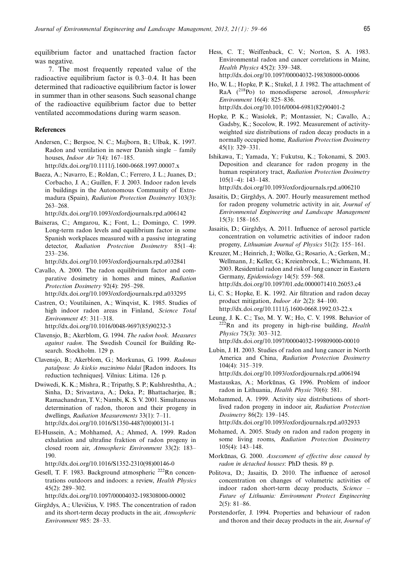equilibrium factor and unattached fraction factor was negative.

7. The most frequently repeated value of the radioactive equilibrium factor is  $0.3-0.4$ . It has been determined that radioactive equilibrium factor is lower in summer than in other seasons. Such seasonal change of the radioactive equilibrium factor due to better ventilated accommodations during warm season.

### **References**

- Andersen, C.; Bergsoe, N. C.; Majborn, B.; Ulbak, K. 1997. Radon and ventilation in newer Danish single  $-$  family houses, *Indoor Air* 7(4):  $167-185$ . <http://dx.doi.org/10.1111/j.1600-0668.1997.00007.x>
- Baeza, A.; Navarro, E.; Roldan, C.; Ferrero, J. L.; Juanes, D.; Corbacho, J. A.; Guillen, F. J. 2003. Indoor radon levels in buildings in the Autonomous Community of Extremadura (Spain), Radiation Protection Dosimetry 103(3):  $263 - 268.$

<http://dx.doi.org/10.1093/oxfordjournals.rpd.a006142>

Baixeras, C.; Amgarou, K.; Font, L.; Domingo, C. 1999. Long-term radon levels and equilibrium factor in some Spanish workplaces measured with a passive integrating detector, Radiation Protection Dosimetry 85(1-4): 233-236.

<http://dx.doi.org/10.1093/oxfordjournals.rpd.a032841>

- Cavallo, A. 2000. The radon equilibrium factor and comparative dosimetry in homes and mines, Radiation Protection Dosimetry 92(4): 295-298. <http://dx.doi.org/10.1093/oxfordjournals.rpd.a033295>
- Castren, O.; Voutilainen, A.; Winqvist, K. 1985. Studies of high indoor radon areas in Finland, Science Total Environment 45: 311-318. [http://dx.doi.org/10.1016/0048-9697\(85\)90232-3](http://dx.doi.org/10.1016/0048-9697(85)90232-3)
- Clavensjo, B.; Akerblom, G. 1994. The radon book. Measures against radon. The Swedish Council for Building Re-

search. Stockholm. 129 p.

- Clavensjo, B.; Akerblom, G.; Morkunas, G. 1999. Radonas patalpose. Jo kiekio mazinimo būdai [Radon indoors. Its reduction techniques]. Vilnius: Litima. 126 p.
- Dwiwedi, K. K.; Mishra, R.; Tripathy, S. P.; Kulshreshtha, A.; Sinha, D.; Srivastava, A.; Deka, P.; Bhattacharjee, B.; Ramachandran, T. V.; Nambi, K. S. V. 2001. Simultaneous determination of radon, thoron and their progeny in dwellings, *Radiation Measurements*  $33(1)$ :  $7-11$ . [http://dx.doi.org/10.1016/S1350-4487\(00\)00131-1](http://dx.doi.org/10.1016/S1350-4487(00)00131-1)
- El-Hussein, A.; Mohhamed, A.; Ahmed, A. 1999. Radon exhalation and ultrafine fraktion of radon progeny in closed room air, Atmospheric Environment 33(2): 183 190.

[http://dx.doi.org/10.1016/S1352-2310\(98\)00146-0](http://dx.doi.org/10.1016/S1352-2310(98)00146-0)

Gesell, T. F. 1983. Background atmospheric <sup>222</sup>Rn concentrations outdoors and indoors: a review, Health Physics 45(2): 289-302.

<http://dx.doi.org/10.1097/00004032-198308000-00002>

Girgždys, A.; Ulevičius, V. 1985. The concentration of radon and its short-term decay products in the air, Atmospheric Environment 985: 28-33.

- Hess, C. T.; Weiffenback, C. V.; Norton, S. A. 1983. Environmental radon and cancer correlations in Maine, Health Physics 45(2): 339-348. <http://dx.doi.org/10.1097/00004032-198308000-00006>
- Ho, W. L.; Hopke, P. K.; Stukel, J. J. 1982. The attachment of RaA  $(^{218}Po)$  to monodisperse aerosol, Atmospheric Environment 16(4): 825-836. [http://dx.doi.org/10.1016/0004-6981\(82\)90401-2](http://dx.doi.org/10.1016/0004-6981(82)90401-2)
- Hopke, P. K.; Wasiolek, P.; Montassier, N.; Cavallo, A.; Gadsby, K.; Socolow, R. 1992. Measurement of activityweighted size distributions of radon decay products in a normally occupied home, Radiation Protection Dosimetry  $45(1)$ : 329-331.
- Ishikawa, T.; Yamada, Y.; Fukutsu, K.; Tokonami, S. 2003. Deposition and clearance for radon progeny in the human respiratory tract, Radiation Protection Dosimetry  $105(1-4): 143-148.$

<http://dx.doi.org/10.1093/oxfordjournals.rpd.a006210>

- Jasaitis, D.; Girgždys, A. 2007. Hourly measurement method for radon progeny volumetric activity in air, Journal of Environmental Engineering and Landscape Management  $15(3)$ :  $158-165$ .
- Jasaitis, D.; Girgždys, A. 2011. Influence of aerosol particle concentration on volumetric activities of indoor radon progeny, Lithuanian Journal of Physics 51(2): 155-161.
- Kreuzer, M.; Heinrich, J.; Wölke, G.; Rosario, A.; Gerken, M.; Wellmann, J.; Keller, G.; Kreienbrock, L.; Wichmann, H. 2003. Residential radon and risk of lung cancer in Eastern Germany, Epidemiology 14(5): 559-568. <http://dx.doi.org/10.1097/01.ede.0000071410.26053.c4>
- Li, C. S.; Hopke, E. K. 1992. Air filtration and radon decay product mitigation, *Indoor Air*  $2(2)$ : 84–100. <http://dx.doi.org/10.1111/j.1600-0668.1992.03-22.x>
- Leung, J. K. C.; Tso, M. Y. W.; Ho, C. V. 1998. Behavior of <sup>222</sup>Rn and its progeny in high-rise building, *Health* Physics 75(3): 303-312. <http://dx.doi.org/10.1097/00004032-199809000-00010>
- Lubin, J. H. 2003. Studies of radon and lung cancer in North America and China, Radiation Protection Dosimetry 104(4): 315-319. <http://dx.doi.org/10.1093/oxfordjournals.rpd.a006194>
- Mastauskas, A.; Morkūnas, G. 1996. Problem of indoor radon in Lithuania, Health Physic 70(6): 581.
- Mohammed, A. 1999. Activity size distributions of shortlived radon progeny in indoor air, Radiation Protection Dosimetry 86(2): 139-145. <http://dx.doi.org/10.1093/oxfordjournals.rpd.a032933>
- Mohamed, A. 2005. Study on radon and radon progeny in some living rooms, Radiation Protection Dosimetry  $105(4): 143-148.$
- Morkūnas, G. 2000. Assessment of effective dose caused by radon in detached houses: PhD thesis. 89 p.
- Politova, D.; Jasaitis, D. 2010. The influence of aerosol concentration on changes of volumetric activities of indoor radon short-term decay products, Science Future of Lithuania: Environment Protect Engineering  $2(5): 81-86.$
- Porstendorfer, J. 1994. Properties and behaviour of radon and thoron and their decay products in the air, Journal of